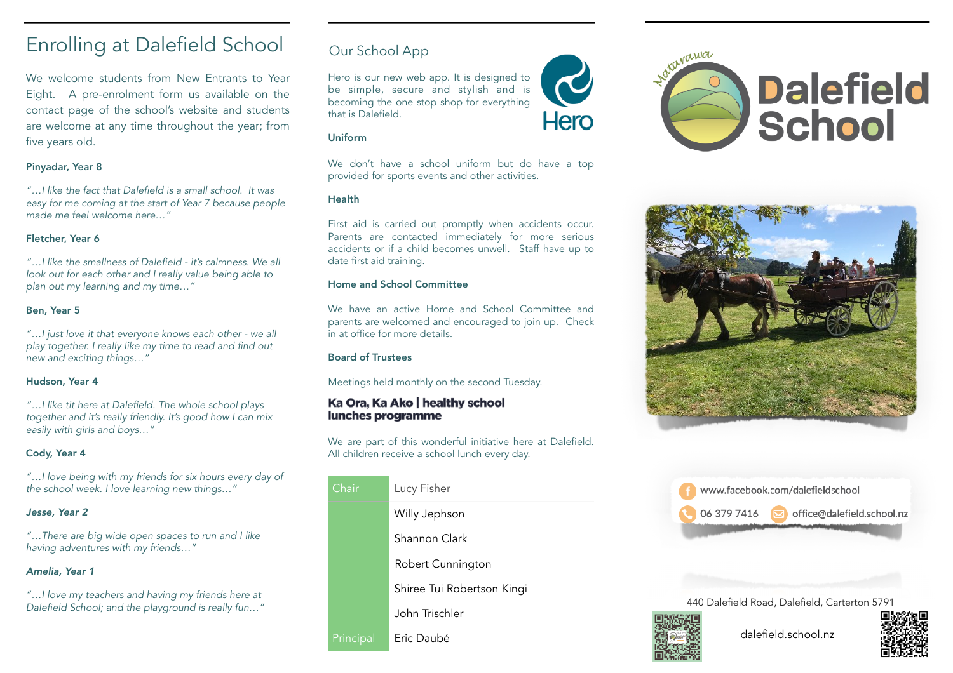# Enrolling at Dalefield School

We welcome students from New Entrants to Year Eight. A pre-enrolment form us available on the [contact page](https://www.dalefield.school.nz/contact.html) of the school's website and students are welcome at any time throughout the year; from five years old.

### Pinyadar, Year 8

*"…I like the fact that Dalefield is a small school. It was easy for me coming at the start of Year 7 because people made me feel welcome here…"*

### Fletcher, Year 6

*"…I like the smallness of Dalefield - it's calmness. We all look out for each other and I really value being able to plan out my learning and my time…"*

# Ben, Year 5

*"…I just love it that everyone knows each other - we all play together. I really like my time to read and find out new and exciting things…"*

### Hudson, Year 4

*"…I like tit here at Dalefield. The whole school plays together and it's really friendly. It's good how I can mix easily with girls and boys…"*

# Cody, Year 4

*"…I love being with my friends for six hours every day of the school week. I love learning new things…"*

## *Jesse, Year 2*

*"…There are big wide open spaces to run and I like having adventures with my friends…"*

## *Amelia, Year 1*

*"…I love my teachers and having my friends here at Dalefield School; and the playground is really fun…"*

# [Our School App](https://hero.linc-ed.com/)

Hero is our new web app. It is designed to be simple, secure and stylish and is becoming the one stop shop for everything that is Dalefield.

#### Uniform

We don't have a school uniform but do have a top provided for sports events and other activities.

Hero

### Health

First aid is carried out promptly when accidents occur. Parents are contacted immediately for more serious accidents or if a child becomes unwell. Staff have up to date first aid training.

### Home and School Committee

We have an active Home and School Committee and parents are welcomed and encouraged to join up. Check in at office for more details.

### Board of Trustees

Meetings held monthly on the second Tuesday.

### Ka Ora, Ka Ako | healthy school lunches programme

We are part of this wonderful initiative here at Dalefield. All children receive a school lunch every day.

| Chair     | Lucy Fisher                |
|-----------|----------------------------|
|           | Willy Jephson              |
|           | Shannon Clark              |
|           | Robert Cunnington          |
|           | Shiree Tui Robertson Kingi |
|           | John Trischler             |
| Principal | Eric Daubé                 |







440 Dalefield Road, Dalefield, Carterton 5791